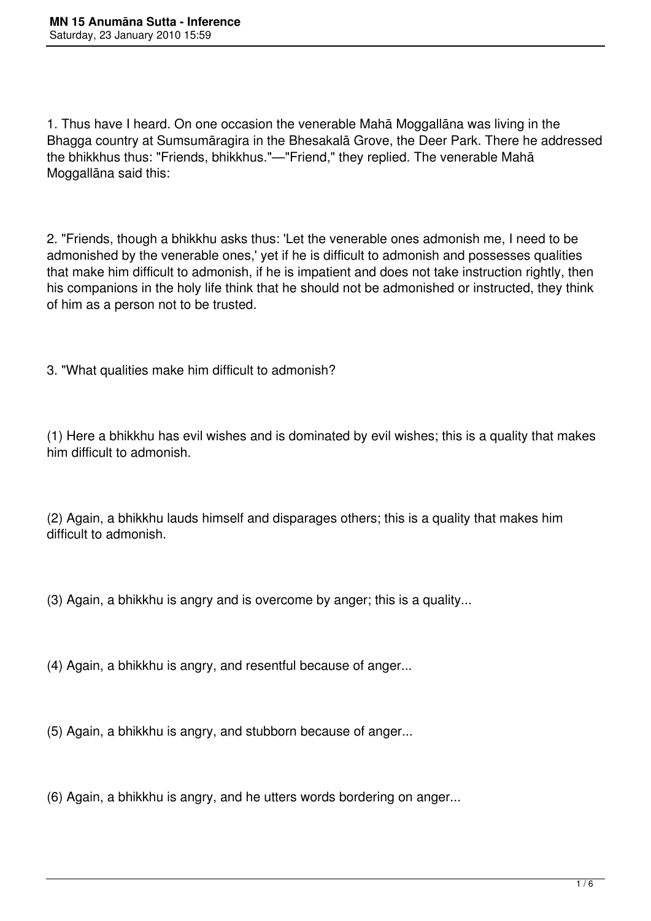1. Thus have I heard. On one occasion the venerable Mahā Moggallāna was living in the Bhagga country at Sumsumāragira in the Bhesakalā Grove, the Deer Park. There he addressed the bhikkhus thus: "Friends, bhikkhus."—"Friend," they replied. The venerable Mahā Moggallāna said this:

2. "Friends, though a bhikkhu asks thus: 'Let the venerable ones admonish me, I need to be admonished by the venerable ones,' yet if he is difficult to admonish and possesses qualities that make him difficult to admonish, if he is impatient and does not take instruction rightly, then his companions in the holy life think that he should not be admonished or instructed, they think of him as a person not to be trusted.

3. "What qualities make him difficult to admonish?

(1) Here a bhikkhu has evil wishes and is dominated by evil wishes; this is a quality that makes him difficult to admonish.

(2) Again, a bhikkhu lauds himself and disparages others; this is a quality that makes him difficult to admonish.

(3) Again, a bhikkhu is angry and is overcome by anger; this is a quality...

(4) Again, a bhikkhu is angry, and resentful because of anger...

(5) Again, a bhikkhu is angry, and stubborn because of anger...

(6) Again, a bhikkhu is angry, and he utters words bordering on anger...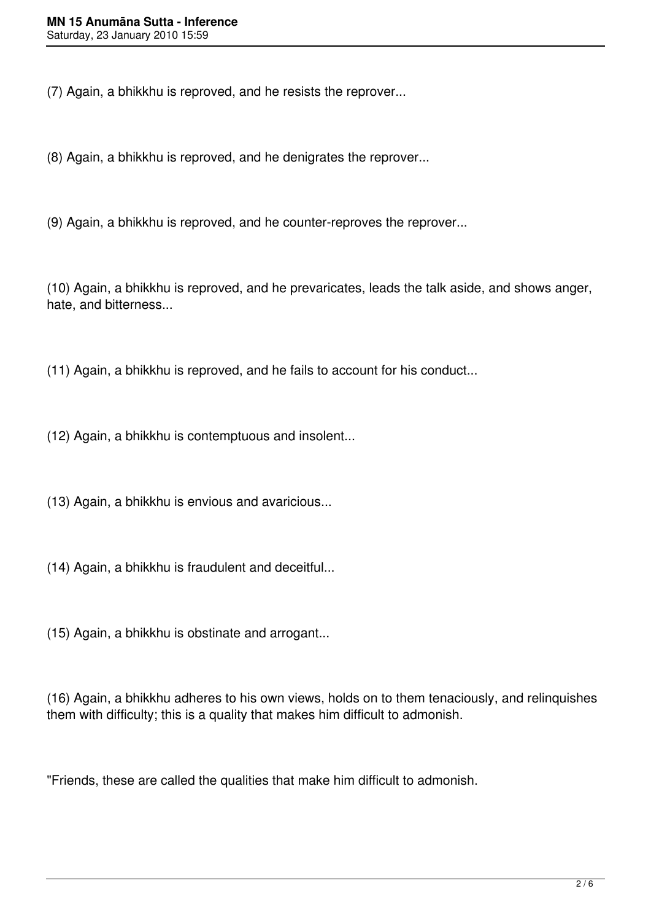(7) Again, a bhikkhu is reproved, and he resists the reprover...

(8) Again, a bhikkhu is reproved, and he denigrates the reprover...

(9) Again, a bhikkhu is reproved, and he counter-reproves the reprover...

(10) Again, a bhikkhu is reproved, and he prevaricates, leads the talk aside, and shows anger, hate, and bitterness...

(11) Again, a bhikkhu is reproved, and he fails to account for his conduct...

(12) Again, a bhikkhu is contemptuous and insolent...

(13) Again, a bhikkhu is envious and avaricious...

(14) Again, a bhikkhu is fraudulent and deceitful...

(15) Again, a bhikkhu is obstinate and arrogant...

(16) Again, a bhikkhu adheres to his own views, holds on to them tenaciously, and relinquishes them with difficulty; this is a quality that makes him difficult to admonish.

"Friends, these are called the qualities that make him difficult to admonish.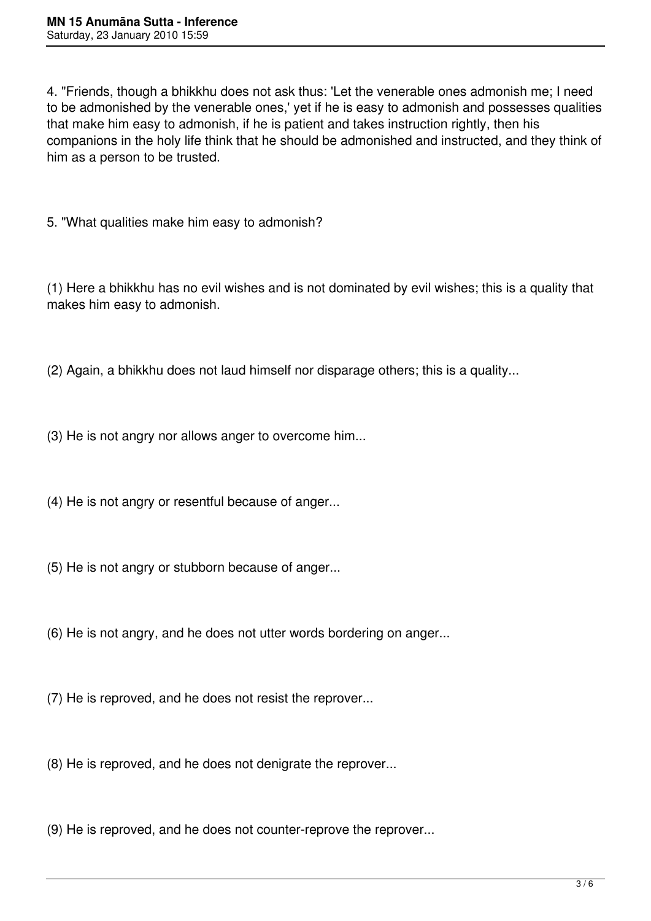4. "Friends, though a bhikkhu does not ask thus: 'Let the venerable ones admonish me; I need to be admonished by the venerable ones,' yet if he is easy to admonish and possesses qualities that make him easy to admonish, if he is patient and takes instruction rightly, then his companions in the holy life think that he should be admonished and instructed, and they think of him as a person to be trusted.

5. "What qualities make him easy to admonish?

(1) Here a bhikkhu has no evil wishes and is not dominated by evil wishes; this is a quality that makes him easy to admonish.

(2) Again, a bhikkhu does not laud himself nor disparage others; this is a quality...

(3) He is not angry nor allows anger to overcome him...

(4) He is not angry or resentful because of anger...

(5) He is not angry or stubborn because of anger...

(6) He is not angry, and he does not utter words bordering on anger...

(7) He is reproved, and he does not resist the reprover...

(8) He is reproved, and he does not denigrate the reprover...

(9) He is reproved, and he does not counter-reprove the reprover...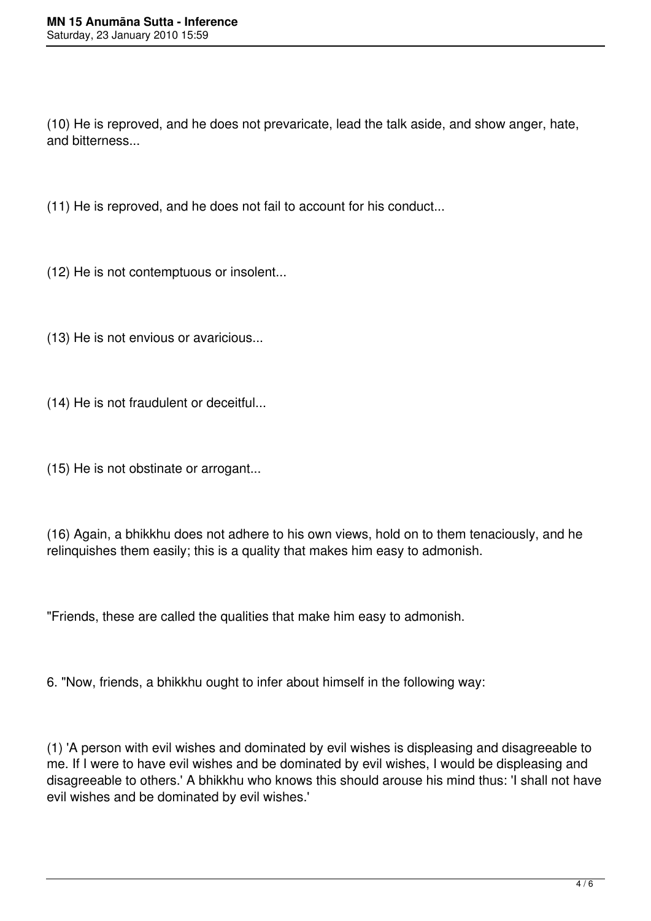(10) He is reproved, and he does not prevaricate, lead the talk aside, and show anger, hate, and bitterness...

(11) He is reproved, and he does not fail to account for his conduct...

(12) He is not contemptuous or insolent...

(13) He is not envious or avaricious...

(14) He is not fraudulent or deceitful...

(15) He is not obstinate or arrogant...

(16) Again, a bhikkhu does not adhere to his own views, hold on to them tenaciously, and he relinquishes them easily; this is a quality that makes him easy to admonish.

"Friends, these are called the qualities that make him easy to admonish.

6. "Now, friends, a bhikkhu ought to infer about himself in the following way:

(1) 'A person with evil wishes and dominated by evil wishes is displeasing and disagreeable to me. If I were to have evil wishes and be dominated by evil wishes, I would be displeasing and disagreeable to others.' A bhikkhu who knows this should arouse his mind thus: 'I shall not have evil wishes and be dominated by evil wishes.'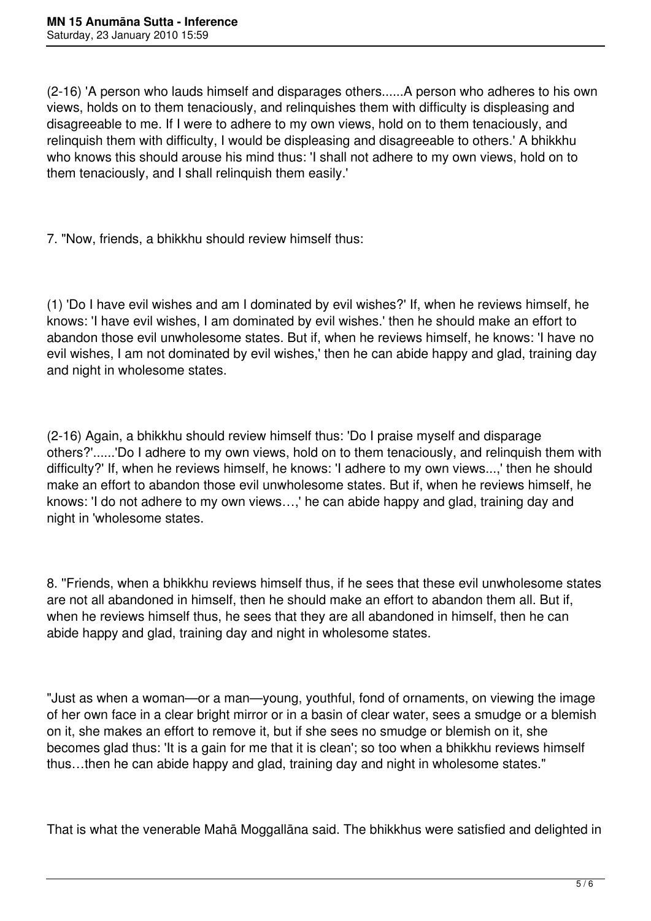(2-16) 'A person who lauds himself and disparages others......A person who adheres to his own views, holds on to them tenaciously, and relinquishes them with difficulty is displeasing and disagreeable to me. If I were to adhere to my own views, hold on to them tenaciously, and relinquish them with difficulty, I would be displeasing and disagreeable to others.' A bhikkhu who knows this should arouse his mind thus: 'I shall not adhere to my own views, hold on to them tenaciously, and I shall relinquish them easily.'

7. "Now, friends, a bhikkhu should review himself thus:

(1) 'Do I have evil wishes and am I dominated by evil wishes?' If, when he reviews himself, he knows: 'I have evil wishes, I am dominated by evil wishes.' then he should make an effort to abandon those evil unwholesome states. But if, when he reviews himself, he knows: 'I have no evil wishes, I am not dominated by evil wishes,' then he can abide happy and glad, training day and night in wholesome states.

(2-16) Again, a bhikkhu should review himself thus: 'Do I praise myself and disparage others?'......'Do I adhere to my own views, hold on to them tenaciously, and relinquish them with difficulty?' If, when he reviews himself, he knows: 'I adhere to my own views...,' then he should make an effort to abandon those evil unwholesome states. But if, when he reviews himself, he knows: 'I do not adhere to my own views…,' he can abide happy and glad, training day and night in 'wholesome states.

8. ''Friends, when a bhikkhu reviews himself thus, if he sees that these evil unwholesome states are not all abandoned in himself, then he should make an effort to abandon them all. But if, when he reviews himself thus, he sees that they are all abandoned in himself, then he can abide happy and glad, training day and night in wholesome states.

"Just as when a woman—or a man—young, youthful, fond of ornaments, on viewing the image of her own face in a clear bright mirror or in a basin of clear water, sees a smudge or a blemish on it, she makes an effort to remove it, but if she sees no smudge or blemish on it, she becomes glad thus: 'It is a gain for me that it is clean'; so too when a bhikkhu reviews himself thus…then he can abide happy and glad, training day and night in wholesome states."

That is what the venerable Mahā Moggallāna said. The bhikkhus were satisfied and delighted in